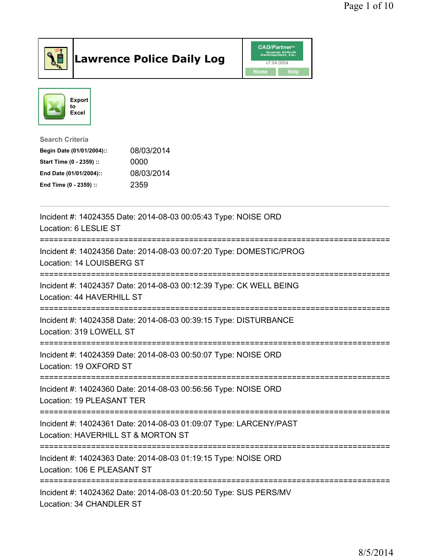

## Lawrence Police Daily Log **Daniel CAD/Partner**





## Search Criteria Begin Date (01/01/2004):: 08/03/2014 Start Time (0 - 2359) :: 0000 End Date (01/01/2004):: 08/03/2014 End Time (0 - 2359) :: 2359

| Incident #: 14024355 Date: 2014-08-03 00:05:43 Type: NOISE ORD<br>Location: 6 LESLIE ST                 |
|---------------------------------------------------------------------------------------------------------|
| Incident #: 14024356 Date: 2014-08-03 00:07:20 Type: DOMESTIC/PROG<br>Location: 14 LOUISBERG ST         |
| Incident #: 14024357 Date: 2014-08-03 00:12:39 Type: CK WELL BEING<br>Location: 44 HAVERHILL ST         |
| Incident #: 14024358 Date: 2014-08-03 00:39:15 Type: DISTURBANCE<br>Location: 319 LOWELL ST             |
| Incident #: 14024359 Date: 2014-08-03 00:50:07 Type: NOISE ORD<br>Location: 19 OXFORD ST                |
| Incident #: 14024360 Date: 2014-08-03 00:56:56 Type: NOISE ORD<br>Location: 19 PLEASANT TER             |
| Incident #: 14024361 Date: 2014-08-03 01:09:07 Type: LARCENY/PAST<br>Location: HAVERHILL ST & MORTON ST |
| Incident #: 14024363 Date: 2014-08-03 01:19:15 Type: NOISE ORD<br>Location: 106 E PLEASANT ST           |
| Incident #: 14024362 Date: 2014-08-03 01:20:50 Type: SUS PERS/MV<br>Location: 34 CHANDLER ST            |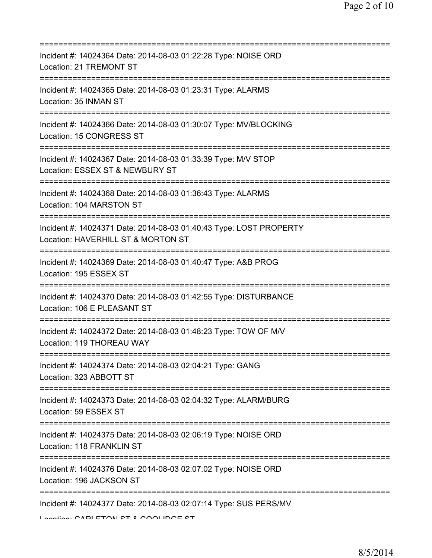| Incident #: 14024364 Date: 2014-08-03 01:22:28 Type: NOISE ORD<br>Location: 21 TREMONT ST                                      |
|--------------------------------------------------------------------------------------------------------------------------------|
| Incident #: 14024365 Date: 2014-08-03 01:23:31 Type: ALARMS<br>Location: 35 INMAN ST                                           |
| Incident #: 14024366 Date: 2014-08-03 01:30:07 Type: MV/BLOCKING<br>Location: 15 CONGRESS ST                                   |
| Incident #: 14024367 Date: 2014-08-03 01:33:39 Type: M/V STOP<br>Location: ESSEX ST & NEWBURY ST<br>========================== |
| Incident #: 14024368 Date: 2014-08-03 01:36:43 Type: ALARMS<br>Location: 104 MARSTON ST                                        |
| Incident #: 14024371 Date: 2014-08-03 01:40:43 Type: LOST PROPERTY<br>Location: HAVERHILL ST & MORTON ST                       |
| Incident #: 14024369 Date: 2014-08-03 01:40:47 Type: A&B PROG<br>Location: 195 ESSEX ST<br>;==============================     |
| Incident #: 14024370 Date: 2014-08-03 01:42:55 Type: DISTURBANCE<br>Location: 106 E PLEASANT ST<br>=========                   |
| Incident #: 14024372 Date: 2014-08-03 01:48:23 Type: TOW OF M/V<br>Location: 119 THOREAU WAY                                   |
| Incident #: 14024374 Date: 2014-08-03 02:04:21 Type: GANG<br>Location: 323 ABBOTT ST                                           |
| Incident #: 14024373 Date: 2014-08-03 02:04:32 Type: ALARM/BURG<br>Location: 59 ESSEX ST                                       |
| Incident #: 14024375 Date: 2014-08-03 02:06:19 Type: NOISE ORD<br>Location: 118 FRANKLIN ST                                    |
| Incident #: 14024376 Date: 2014-08-03 02:07:02 Type: NOISE ORD<br>Location: 196 JACKSON ST                                     |
| Incident #: 14024377 Date: 2014-08-03 02:07:14 Type: SUS PERS/MV<br>Lootion: CADI ETAN CT 0 CAALINGE CT                        |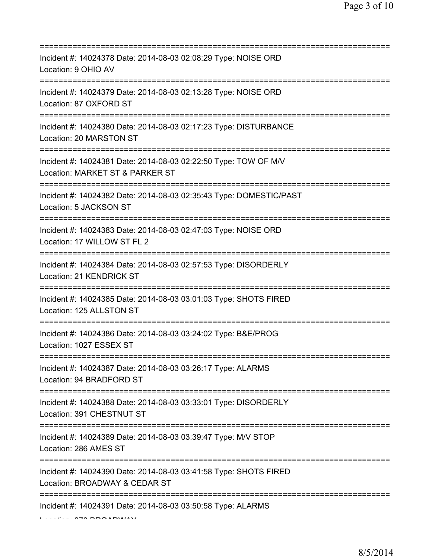| Incident #: 14024378 Date: 2014-08-03 02:08:29 Type: NOISE ORD<br>Location: 9 OHIO AV                                                    |
|------------------------------------------------------------------------------------------------------------------------------------------|
| Incident #: 14024379 Date: 2014-08-03 02:13:28 Type: NOISE ORD<br>Location: 87 OXFORD ST<br>==================<br>====================== |
| Incident #: 14024380 Date: 2014-08-03 02:17:23 Type: DISTURBANCE<br>Location: 20 MARSTON ST                                              |
| Incident #: 14024381 Date: 2014-08-03 02:22:50 Type: TOW OF M/V<br>Location: MARKET ST & PARKER ST<br>---------------------------        |
| Incident #: 14024382 Date: 2014-08-03 02:35:43 Type: DOMESTIC/PAST<br>Location: 5 JACKSON ST                                             |
| Incident #: 14024383 Date: 2014-08-03 02:47:03 Type: NOISE ORD<br>Location: 17 WILLOW ST FL 2<br>;=====================================  |
| Incident #: 14024384 Date: 2014-08-03 02:57:53 Type: DISORDERLY<br>Location: 21 KENDRICK ST<br>------------------------------            |
| Incident #: 14024385 Date: 2014-08-03 03:01:03 Type: SHOTS FIRED<br>Location: 125 ALLSTON ST                                             |
| Incident #: 14024386 Date: 2014-08-03 03:24:02 Type: B&E/PROG<br>Location: 1027 ESSEX ST                                                 |
| Incident #: 14024387 Date: 2014-08-03 03:26:17 Type: ALARMS<br>Location: 94 BRADFORD ST                                                  |
| Incident #: 14024388 Date: 2014-08-03 03:33:01 Type: DISORDERLY<br>Location: 391 CHESTNUT ST                                             |
| Incident #: 14024389 Date: 2014-08-03 03:39:47 Type: M/V STOP<br>Location: 286 AMES ST                                                   |
| ==============<br>Incident #: 14024390 Date: 2014-08-03 03:41:58 Type: SHOTS FIRED<br>Location: BROADWAY & CEDAR ST                      |
| --------------------------<br>Incident #: 14024391 Date: 2014-08-03 03:50:58 Type: ALARMS                                                |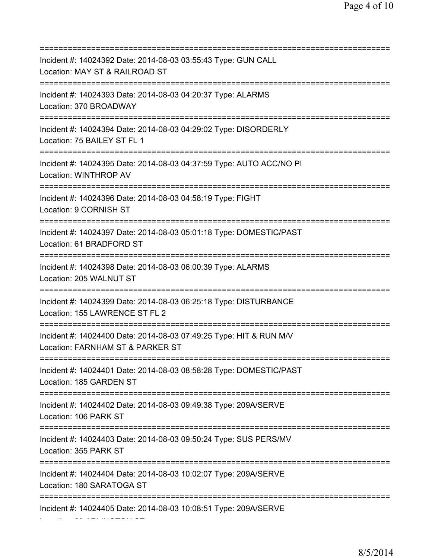=========================================================================== Incident #: 14024392 Date: 2014-08-03 03:55:43 Type: GUN CALL Location: MAY ST & RAILROAD ST =========================================================================== Incident #: 14024393 Date: 2014-08-03 04:20:37 Type: ALARMS Location: 370 BROADWAY =========================================================================== Incident #: 14024394 Date: 2014-08-03 04:29:02 Type: DISORDERLY Location: 75 BAILEY ST FL 1 =========================================================================== Incident #: 14024395 Date: 2014-08-03 04:37:59 Type: AUTO ACC/NO PI Location: WINTHROP AV =========================================================================== Incident #: 14024396 Date: 2014-08-03 04:58:19 Type: FIGHT Location: 9 CORNISH ST =========================================================================== Incident #: 14024397 Date: 2014-08-03 05:01:18 Type: DOMESTIC/PAST Location: 61 BRADFORD ST =========================================================================== Incident #: 14024398 Date: 2014-08-03 06:00:39 Type: ALARMS Location: 205 WALNUT ST =========================================================================== Incident #: 14024399 Date: 2014-08-03 06:25:18 Type: DISTURBANCE Location: 155 LAWRENCE ST FL 2 =========================================================================== Incident #: 14024400 Date: 2014-08-03 07:49:25 Type: HIT & RUN M/V Location: FARNHAM ST & PARKER ST =========================================================================== Incident #: 14024401 Date: 2014-08-03 08:58:28 Type: DOMESTIC/PAST Location: 185 GARDEN ST =========================================================================== Incident #: 14024402 Date: 2014-08-03 09:49:38 Type: 209A/SERVE Location: 106 PARK ST =========================================================================== Incident #: 14024403 Date: 2014-08-03 09:50:24 Type: SUS PERS/MV Location: 355 PARK ST =========================================================================== Incident #: 14024404 Date: 2014-08-03 10:02:07 Type: 209A/SERVE Location: 180 SARATOGA ST =========================================================================== Incident #: 14024405 Date: 2014-08-03 10:08:51 Type: 209A/SERVE Location: 69 ARLINGTON ST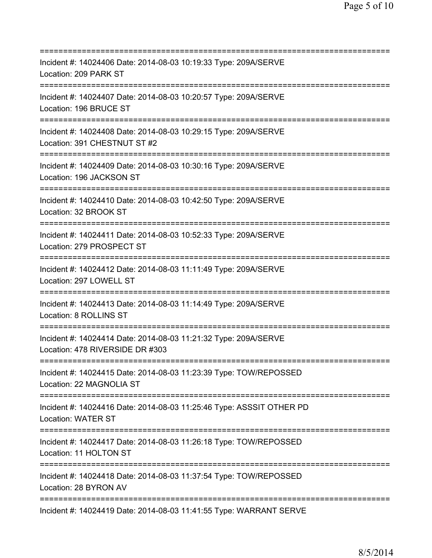| Incident #: 14024406 Date: 2014-08-03 10:19:33 Type: 209A/SERVE<br>Location: 209 PARK ST                                             |
|--------------------------------------------------------------------------------------------------------------------------------------|
| Incident #: 14024407 Date: 2014-08-03 10:20:57 Type: 209A/SERVE<br>Location: 196 BRUCE ST<br>=================================       |
| Incident #: 14024408 Date: 2014-08-03 10:29:15 Type: 209A/SERVE<br>Location: 391 CHESTNUT ST #2                                      |
| Incident #: 14024409 Date: 2014-08-03 10:30:16 Type: 209A/SERVE<br>Location: 196 JACKSON ST<br>============================          |
| Incident #: 14024410 Date: 2014-08-03 10:42:50 Type: 209A/SERVE<br>Location: 32 BROOK ST                                             |
| Incident #: 14024411 Date: 2014-08-03 10:52:33 Type: 209A/SERVE<br>Location: 279 PROSPECT ST<br>==================================== |
| Incident #: 14024412 Date: 2014-08-03 11:11:49 Type: 209A/SERVE<br>Location: 297 LOWELL ST<br>:=============================         |
| Incident #: 14024413 Date: 2014-08-03 11:14:49 Type: 209A/SERVE<br>Location: 8 ROLLINS ST                                            |
| Incident #: 14024414 Date: 2014-08-03 11:21:32 Type: 209A/SERVE<br>Location: 478 RIVERSIDE DR #303                                   |
| Incident #: 14024415 Date: 2014-08-03 11:23:39 Type: TOW/REPOSSED<br>Location: 22 MAGNOLIA ST                                        |
| Incident #: 14024416 Date: 2014-08-03 11:25:46 Type: ASSSIT OTHER PD<br><b>Location: WATER ST</b>                                    |
| Incident #: 14024417 Date: 2014-08-03 11:26:18 Type: TOW/REPOSSED<br>Location: 11 HOLTON ST                                          |
| Incident #: 14024418 Date: 2014-08-03 11:37:54 Type: TOW/REPOSSED<br>Location: 28 BYRON AV                                           |
| Incident #: 14024419 Date: 2014-08-03 11:41:55 Type: WARRANT SERVE                                                                   |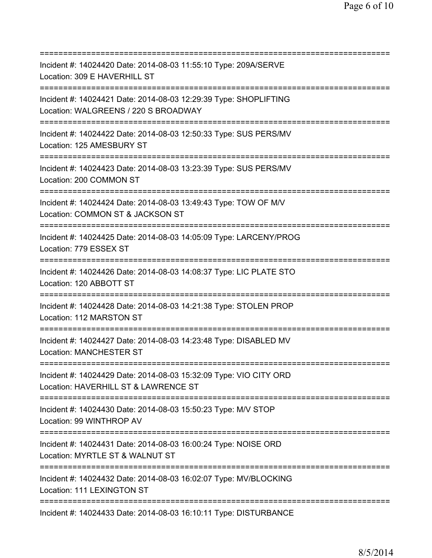| Incident #: 14024420 Date: 2014-08-03 11:55:10 Type: 209A/SERVE<br>Location: 309 E HAVERHILL ST                                             |
|---------------------------------------------------------------------------------------------------------------------------------------------|
| Incident #: 14024421 Date: 2014-08-03 12:29:39 Type: SHOPLIFTING<br>Location: WALGREENS / 220 S BROADWAY<br>============================    |
| Incident #: 14024422 Date: 2014-08-03 12:50:33 Type: SUS PERS/MV<br>Location: 125 AMESBURY ST<br>======================================     |
| Incident #: 14024423 Date: 2014-08-03 13:23:39 Type: SUS PERS/MV<br>Location: 200 COMMON ST<br>================================             |
| Incident #: 14024424 Date: 2014-08-03 13:49:43 Type: TOW OF M/V<br>Location: COMMON ST & JACKSON ST<br>;==================                  |
| Incident #: 14024425 Date: 2014-08-03 14:05:09 Type: LARCENY/PROG<br>Location: 779 ESSEX ST<br>====================================         |
| Incident #: 14024426 Date: 2014-08-03 14:08:37 Type: LIC PLATE STO<br>Location: 120 ABBOTT ST                                               |
| Incident #: 14024428 Date: 2014-08-03 14:21:38 Type: STOLEN PROP<br>Location: 112 MARSTON ST                                                |
| Incident #: 14024427 Date: 2014-08-03 14:23:48 Type: DISABLED MV<br><b>Location: MANCHESTER ST</b>                                          |
| Incident #: 14024429 Date: 2014-08-03 15:32:09 Type: VIO CITY ORD<br>Location: HAVERHILL ST & LAWRENCE ST                                   |
| ====================================<br>Incident #: 14024430 Date: 2014-08-03 15:50:23 Type: M/V STOP<br>Location: 99 WINTHROP AV           |
| ======================================<br>Incident #: 14024431 Date: 2014-08-03 16:00:24 Type: NOISE ORD<br>Location: MYRTLE ST & WALNUT ST |
| Incident #: 14024432 Date: 2014-08-03 16:02:07 Type: MV/BLOCKING<br>Location: 111 LEXINGTON ST                                              |
| Incident #: 14024433 Date: 2014-08-03 16:10:11 Type: DISTURBANCE                                                                            |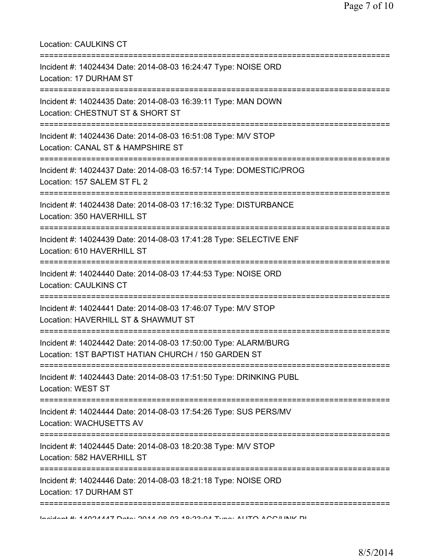| <b>Location: CAULKINS CT</b>                                                                                                          |
|---------------------------------------------------------------------------------------------------------------------------------------|
| Incident #: 14024434 Date: 2014-08-03 16:24:47 Type: NOISE ORD<br>Location: 17 DURHAM ST<br>======================================    |
| Incident #: 14024435 Date: 2014-08-03 16:39:11 Type: MAN DOWN<br>Location: CHESTNUT ST & SHORT ST<br>;=============================== |
| Incident #: 14024436 Date: 2014-08-03 16:51:08 Type: M/V STOP<br>Location: CANAL ST & HAMPSHIRE ST<br>:=====================          |
| Incident #: 14024437 Date: 2014-08-03 16:57:14 Type: DOMESTIC/PROG<br>Location: 157 SALEM ST FL 2<br>===============================  |
| Incident #: 14024438 Date: 2014-08-03 17:16:32 Type: DISTURBANCE<br>Location: 350 HAVERHILL ST                                        |
| Incident #: 14024439 Date: 2014-08-03 17:41:28 Type: SELECTIVE ENF<br>Location: 610 HAVERHILL ST                                      |
| Incident #: 14024440 Date: 2014-08-03 17:44:53 Type: NOISE ORD<br><b>Location: CAULKINS CT</b>                                        |
| Incident #: 14024441 Date: 2014-08-03 17:46:07 Type: M/V STOP<br>Location: HAVERHILL ST & SHAWMUT ST                                  |
| Incident #: 14024442 Date: 2014-08-03 17:50:00 Type: ALARM/BURG<br>Location: 1ST BAPTIST HATIAN CHURCH / 150 GARDEN ST                |
| Incident #: 14024443 Date: 2014-08-03 17:51:50 Type: DRINKING PUBL<br>Location: WEST ST                                               |
| Incident #: 14024444 Date: 2014-08-03 17:54:26 Type: SUS PERS/MV<br>Location: WACHUSETTS AV                                           |
| =======================<br>Incident #: 14024445 Date: 2014-08-03 18:20:38 Type: M/V STOP<br>Location: 582 HAVERHILL ST                |
| Incident #: 14024446 Date: 2014-08-03 18:21:18 Type: NOISE ORD<br>Location: 17 DURHAM ST                                              |
| In SIMPLE 4.4 AND ATTILA  AN OCO A CO O A D.O.O.A Tumor ALITO A DOMINIK DI                                                            |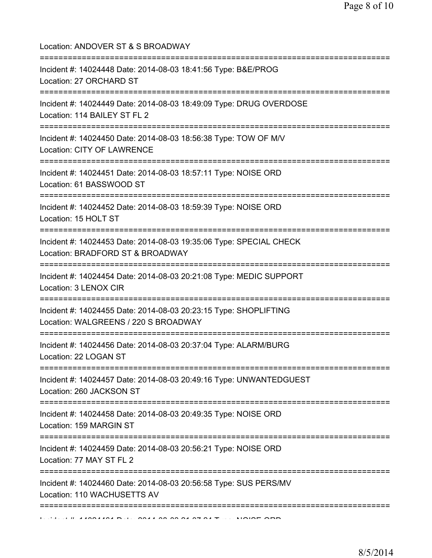| Location: ANDOVER ST & S BROADWAY                                                                                                     |
|---------------------------------------------------------------------------------------------------------------------------------------|
| Incident #: 14024448 Date: 2014-08-03 18:41:56 Type: B&E/PROG<br>Location: 27 ORCHARD ST<br>:==================================       |
| Incident #: 14024449 Date: 2014-08-03 18:49:09 Type: DRUG OVERDOSE<br>Location: 114 BAILEY ST FL 2                                    |
| Incident #: 14024450 Date: 2014-08-03 18:56:38 Type: TOW OF M/V<br>Location: CITY OF LAWRENCE                                         |
| Incident #: 14024451 Date: 2014-08-03 18:57:11 Type: NOISE ORD<br>Location: 61 BASSWOOD ST                                            |
| Incident #: 14024452 Date: 2014-08-03 18:59:39 Type: NOISE ORD<br>Location: 15 HOLT ST                                                |
| Incident #: 14024453 Date: 2014-08-03 19:35:06 Type: SPECIAL CHECK<br>Location: BRADFORD ST & BROADWAY<br>=========================== |
| Incident #: 14024454 Date: 2014-08-03 20:21:08 Type: MEDIC SUPPORT<br>Location: 3 LENOX CIR                                           |
| Incident #: 14024455 Date: 2014-08-03 20:23:15 Type: SHOPLIFTING<br>Location: WALGREENS / 220 S BROADWAY                              |
| Incident #: 14024456 Date: 2014-08-03 20:37:04 Type: ALARM/BURG<br>Location: 22 LOGAN ST                                              |
| Incident #: 14024457 Date: 2014-08-03 20:49:16 Type: UNWANTEDGUEST<br>Location: 260 JACKSON ST                                        |
| Incident #: 14024458 Date: 2014-08-03 20:49:35 Type: NOISE ORD<br>Location: 159 MARGIN ST                                             |
| Incident #: 14024459 Date: 2014-08-03 20:56:21 Type: NOISE ORD<br>Location: 77 MAY ST FL 2                                            |
| Incident #: 14024460 Date: 2014-08-03 20:56:58 Type: SUS PERS/MV<br>Location: 110 WACHUSETTS AV                                       |
|                                                                                                                                       |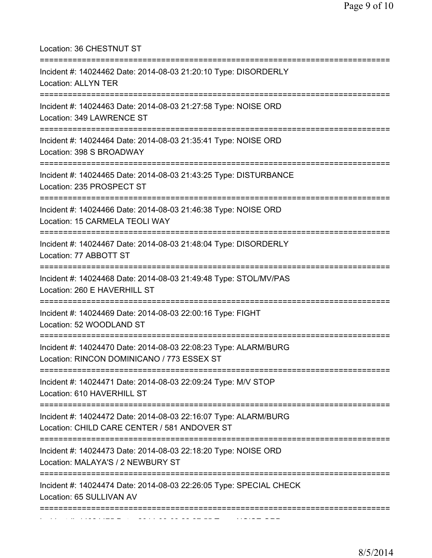| Location: 36 CHESTNUT ST                                                                                                            |
|-------------------------------------------------------------------------------------------------------------------------------------|
| Incident #: 14024462 Date: 2014-08-03 21:20:10 Type: DISORDERLY<br><b>Location: ALLYN TER</b>                                       |
| Incident #: 14024463 Date: 2014-08-03 21:27:58 Type: NOISE ORD<br>Location: 349 LAWRENCE ST<br>------------------------------------ |
| Incident #: 14024464 Date: 2014-08-03 21:35:41 Type: NOISE ORD<br>Location: 398 S BROADWAY                                          |
| Incident #: 14024465 Date: 2014-08-03 21:43:25 Type: DISTURBANCE<br>Location: 235 PROSPECT ST                                       |
| Incident #: 14024466 Date: 2014-08-03 21:46:38 Type: NOISE ORD<br>Location: 15 CARMELA TEOLI WAY                                    |
| Incident #: 14024467 Date: 2014-08-03 21:48:04 Type: DISORDERLY<br>Location: 77 ABBOTT ST                                           |
| Incident #: 14024468 Date: 2014-08-03 21:49:48 Type: STOL/MV/PAS<br>Location: 260 E HAVERHILL ST<br>=======================         |
| Incident #: 14024469 Date: 2014-08-03 22:00:16 Type: FIGHT<br>Location: 52 WOODLAND ST                                              |
| Incident #: 14024470 Date: 2014-08-03 22:08:23 Type: ALARM/BURG<br>Location: RINCON DOMINICANO / 773 ESSEX ST                       |
| Incident #: 14024471 Date: 2014-08-03 22:09:24 Type: M/V STOP<br>Location: 610 HAVERHILL ST                                         |
| Incident #: 14024472 Date: 2014-08-03 22:16:07 Type: ALARM/BURG<br>Location: CHILD CARE CENTER / 581 ANDOVER ST                     |
| Incident #: 14024473 Date: 2014-08-03 22:18:20 Type: NOISE ORD<br>Location: MALAYA'S / 2 NEWBURY ST                                 |
| ;=========<br>Incident #: 14024474 Date: 2014-08-03 22:26:05 Type: SPECIAL CHECK<br>Location: 65 SULLIVAN AV                        |
|                                                                                                                                     |